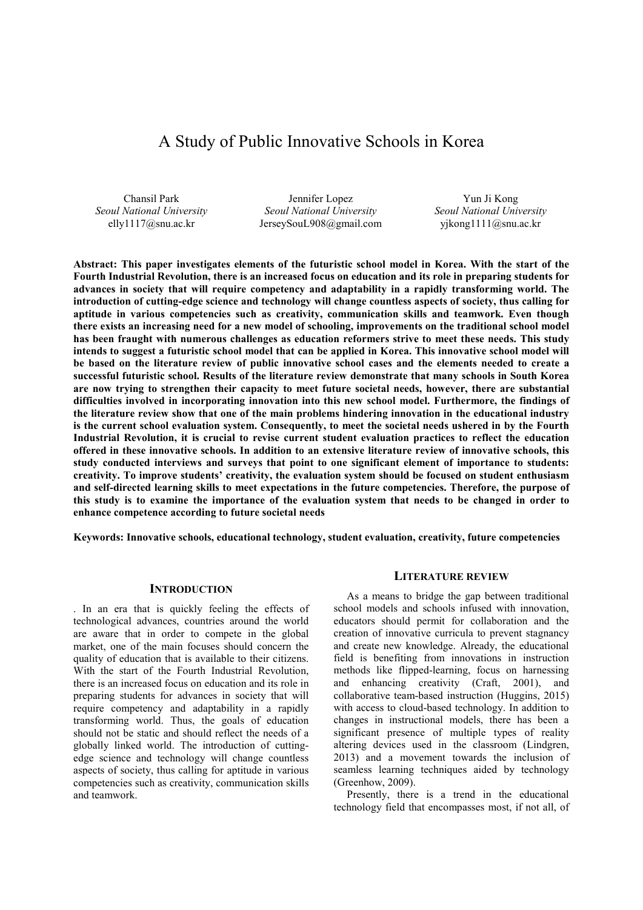# A Study of Public Innovative Schools in Korea

Chansil Park *Seoul National University* elly1117@snu.ac.kr

Jennifer Lopez *Seoul National University* JerseySouL908@gmail.com

Yun Ji Kong *Seoul National University* yjkong1111@snu.ac.kr

**Abstract: This paper investigates elements of the futuristic school model in Korea. With the start of the Fourth Industrial Revolution, there is an increased focus on education and its role in preparing students for advances in society that will require competency and adaptability in a rapidly transforming world. The introduction of cutting-edge science and technology will change countless aspects of society, thus calling for aptitude in various competencies such as creativity, communication skills and teamwork. Even though there exists an increasing need for a new model of schooling, improvements on the traditional school model has been fraught with numerous challenges as education reformers strive to meet these needs. This study intends to suggest a futuristic school model that can be applied in Korea. This innovative school model will be based on the literature review of public innovative school cases and the elements needed to create a successful futuristic school. Results of the literature review demonstrate that many schools in South Korea are now trying to strengthen their capacity to meet future societal needs, however, there are substantial difficulties involved in incorporating innovation into this new school model. Furthermore, the findings of the literature review show that one of the main problems hindering innovation in the educational industry is the current school evaluation system. Consequently, to meet the societal needs ushered in by the Fourth Industrial Revolution, it is crucial to revise current student evaluation practices to reflect the education offered in these innovative schools. In addition to an extensive literature review of innovative schools, this study conducted interviews and surveys that point to one significant element of importance to students: creativity. To improve students' creativity, the evaluation system should be focused on student enthusiasm and self-directed learning skills to meet expectations in the future competencies. Therefore, the purpose of this study is to examine the importance of the evaluation system that needs to be changed in order to enhance competence according to future societal needs** 

**Keywords: Innovative schools, educational technology, student evaluation, creativity, future competencies** 

#### **INTRODUCTION**

. In an era that is quickly feeling the effects of technological advances, countries around the world are aware that in order to compete in the global market, one of the main focuses should concern the quality of education that is available to their citizens. With the start of the Fourth Industrial Revolution, there is an increased focus on education and its role in preparing students for advances in society that will require competency and adaptability in a rapidly transforming world. Thus, the goals of education should not be static and should reflect the needs of a globally linked world. The introduction of cuttingedge science and technology will change countless aspects of society, thus calling for aptitude in various competencies such as creativity, communication skills and teamwork.

#### **LITERATURE REVIEW**

As a means to bridge the gap between traditional school models and schools infused with innovation, educators should permit for collaboration and the creation of innovative curricula to prevent stagnancy and create new knowledge. Already, the educational field is benefiting from innovations in instruction methods like flipped-learning, focus on harnessing and enhancing creativity (Craft, 2001), and collaborative team-based instruction (Huggins, 2015) with access to cloud-based technology. In addition to changes in instructional models, there has been a significant presence of multiple types of reality altering devices used in the classroom (Lindgren, 2013) and a movement towards the inclusion of seamless learning techniques aided by technology (Greenhow, 2009).

Presently, there is a trend in the educational technology field that encompasses most, if not all, of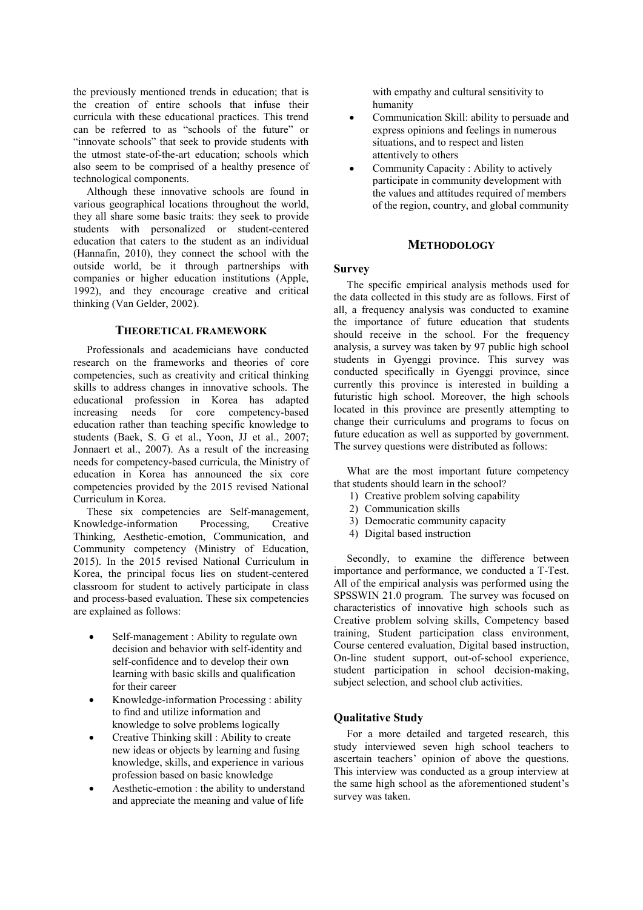the previously mentioned trends in education; that is the creation of entire schools that infuse their curricula with these educational practices. This trend can be referred to as "schools of the future" or "innovate schools" that seek to provide students with the utmost state-of-the-art education; schools which also seem to be comprised of a healthy presence of technological components.

Although these innovative schools are found in various geographical locations throughout the world, they all share some basic traits: they seek to provide students with personalized or student-centered education that caters to the student as an individual (Hannafin, 2010), they connect the school with the outside world, be it through partnerships with companies or higher education institutions (Apple, 1992), and they encourage creative and critical thinking (Van Gelder, 2002).

# **THEORETICAL FRAMEWORK**

Professionals and academicians have conducted research on the frameworks and theories of core competencies, such as creativity and critical thinking skills to address changes in innovative schools. The educational profession in Korea has adapted increasing needs for core competency-based education rather than teaching specific knowledge to students (Baek, S. G et al., Yoon, JJ et al., 2007; Jonnaert et al., 2007). As a result of the increasing needs for competency-based curricula, the Ministry of education in Korea has announced the six core competencies provided by the 2015 revised National Curriculum in Korea.

These six competencies are Self-management, Knowledge-information Processing, Creative Thinking, Aesthetic-emotion, Communication, and Community competency (Ministry of Education, 2015). In the 2015 revised National Curriculum in Korea, the principal focus lies on student-centered classroom for student to actively participate in class and process-based evaluation. These six competencies are explained as follows:

- Self-management : Ability to regulate own decision and behavior with self-identity and self-confidence and to develop their own learning with basic skills and qualification for their career
- Knowledge-information Processing : ability to find and utilize information and knowledge to solve problems logically
- Creative Thinking skill : Ability to create new ideas or objects by learning and fusing knowledge, skills, and experience in various profession based on basic knowledge
- Aesthetic-emotion : the ability to understand and appreciate the meaning and value of life

with empathy and cultural sensitivity to humanity

- Communication Skill: ability to persuade and express opinions and feelings in numerous situations, and to respect and listen attentively to others
- Community Capacity : Ability to actively participate in community development with the values and attitudes required of members of the region, country, and global community

# **METHODOLOGY**

#### **Survey**

The specific empirical analysis methods used for the data collected in this study are as follows. First of all, a frequency analysis was conducted to examine the importance of future education that students should receive in the school. For the frequency analysis, a survey was taken by 97 public high school students in Gyenggi province. This survey was conducted specifically in Gyenggi province, since currently this province is interested in building a futuristic high school. Moreover, the high schools located in this province are presently attempting to change their curriculums and programs to focus on future education as well as supported by government. The survey questions were distributed as follows:

What are the most important future competency that students should learn in the school?

- 1) Creative problem solving capability
- 2) Communication skills
- 3) Democratic community capacity
- 4) Digital based instruction

Secondly, to examine the difference between importance and performance, we conducted a T-Test. All of the empirical analysis was performed using the SPSSWIN 21.0 program. The survey was focused on characteristics of innovative high schools such as Creative problem solving skills, Competency based training, Student participation class environment, Course centered evaluation, Digital based instruction, On-line student support, out-of-school experience, student participation in school decision-making, subject selection, and school club activities.

#### **Qualitative Study**

For a more detailed and targeted research, this study interviewed seven high school teachers to ascertain teachers' opinion of above the questions. This interview was conducted as a group interview at the same high school as the aforementioned student's survey was taken.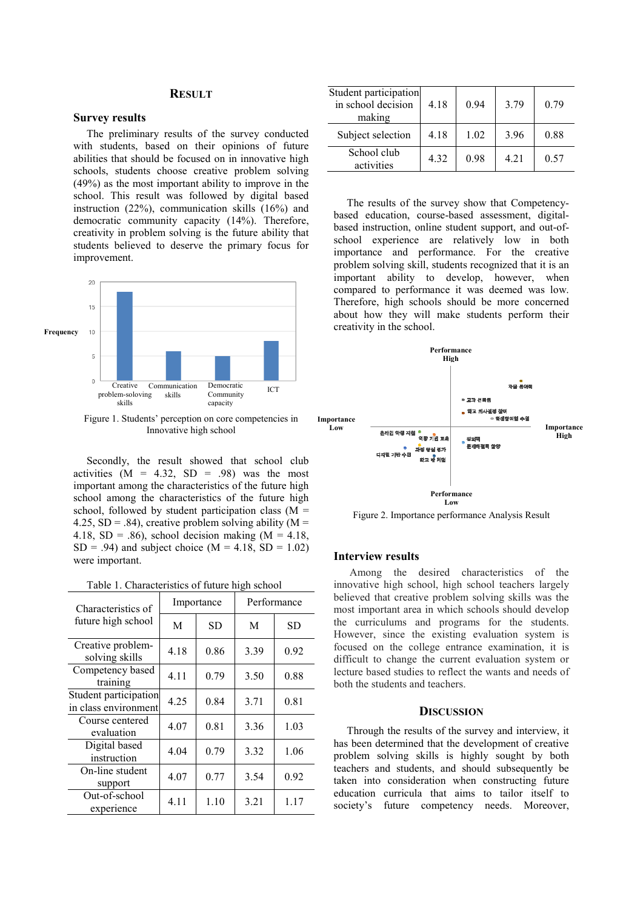# **RESULT**

#### **Survey results**

The preliminary results of the survey conducted with students, based on their opinions of future abilities that should be focused on in innovative high schools, students choose creative problem solving (49%) as the most important ability to improve in the school. This result was followed by digital based instruction (22%), communication skills (16%) and democratic community capacity (14%). Therefore, creativity in problem solving is the future ability that students believed to deserve the primary focus for improvement.



Figure 1. Students' perception on core competencies in Innovative high school

Secondly, the result showed that school club activities  $(M = 4.32, SD = .98)$  was the most important among the characteristics of the future high school among the characteristics of the future high school, followed by student participation class  $(M =$ 4.25, SD = .84), creative problem solving ability ( $M =$ 4.18, SD = .86), school decision making  $(M = 4.18,$  $SD = .94$ ) and subject choice (M = 4.18, SD = 1.02) were important.

| Table 1. Characteristics of future high school |  |  |
|------------------------------------------------|--|--|
|                                                |  |  |

| Characteristics of                            | Importance |      | Performance |      |
|-----------------------------------------------|------------|------|-------------|------|
| future high school                            | M          | SD   | M           | SD   |
| Creative problem-<br>solving skills           | 4.18       | 0.86 | 3.39        | 0.92 |
| Competency based<br>training                  | 4.11       | 0.79 | 3.50        | 0.88 |
| Student participation<br>in class environment | 4.25       | 0.84 | 3.71        | 0.81 |
| Course centered<br>evaluation                 | 4.07       | 0.81 | 3.36        | 1.03 |
| Digital based<br>instruction                  | 4.04       | 0.79 | 3.32        | 1.06 |
| On-line student<br>support                    | 4.07       | 0.77 | 3.54        | 0.92 |
| Out-of-school<br>experience                   | 4.11       | 1.10 | 3.21        | 1.17 |

| Student participation<br>in school decision<br>making | 4.18 | 0.94 | 3.79 | 0.79 |
|-------------------------------------------------------|------|------|------|------|
| Subject selection                                     | 4.18 | 1.02 | 3.96 | 0.88 |
| School club<br>activities                             | 4.32 | 0.98 | 4.21 | 0.57 |

The results of the survey show that Competencybased education, course-based assessment, digitalbased instruction, online student support, and out-ofschool experience are relatively low in both importance and performance. For the creative problem solving skill, students recognized that it is an important ability to develop, however, when compared to performance it was deemed was low. Therefore, high schools should be more concerned about how they will make students perform their creativity in the school.



Figure 2. Importance performance Analysis Result

# **Interview results**

Among the desired characteristics of the innovative high school, high school teachers largely believed that creative problem solving skills was the most important area in which schools should develop the curriculums and programs for the students. However, since the existing evaluation system is focused on the college entrance examination, it is difficult to change the current evaluation system or lecture based studies to reflect the wants and needs of both the students and teachers.

## **DISCUSSION**

Through the results of the survey and interview, it has been determined that the development of creative problem solving skills is highly sought by both teachers and students, and should subsequently be taken into consideration when constructing future education curricula that aims to tailor itself to society's future competency needs. Moreover,